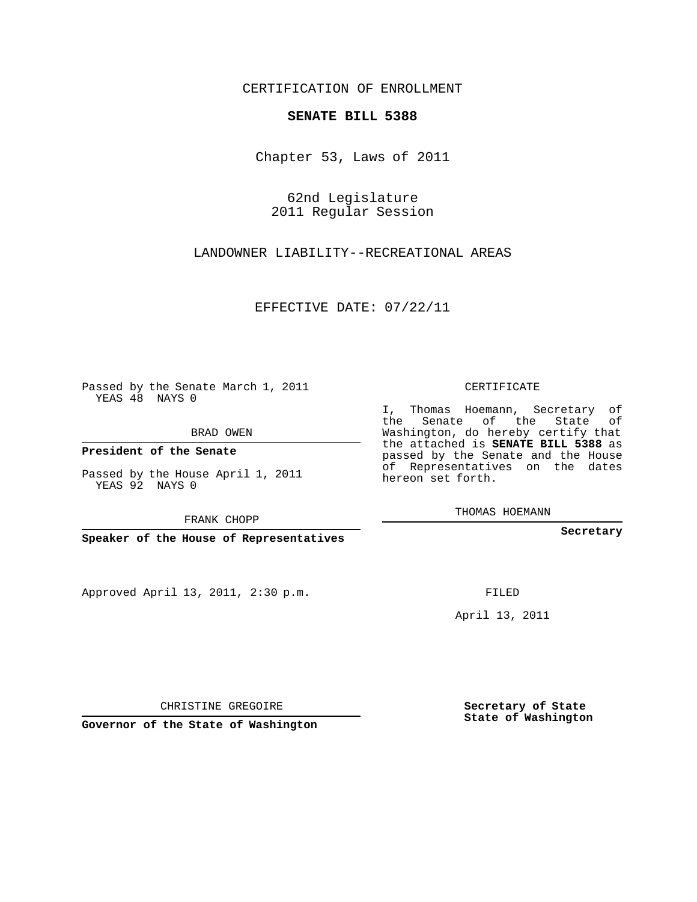CERTIFICATION OF ENROLLMENT

## **SENATE BILL 5388**

Chapter 53, Laws of 2011

62nd Legislature 2011 Regular Session

LANDOWNER LIABILITY--RECREATIONAL AREAS

EFFECTIVE DATE: 07/22/11

Passed by the Senate March 1, 2011 YEAS 48 NAYS 0

BRAD OWEN

**President of the Senate**

Passed by the House April 1, 2011 YEAS 92 NAYS 0

FRANK CHOPP

**Speaker of the House of Representatives**

Approved April 13, 2011, 2:30 p.m.

CERTIFICATE

I, Thomas Hoemann, Secretary of the Senate of the State of Washington, do hereby certify that the attached is **SENATE BILL 5388** as passed by the Senate and the House of Representatives on the dates hereon set forth.

THOMAS HOEMANN

**Secretary**

FILED

April 13, 2011

CHRISTINE GREGOIRE

**Governor of the State of Washington**

**Secretary of State State of Washington**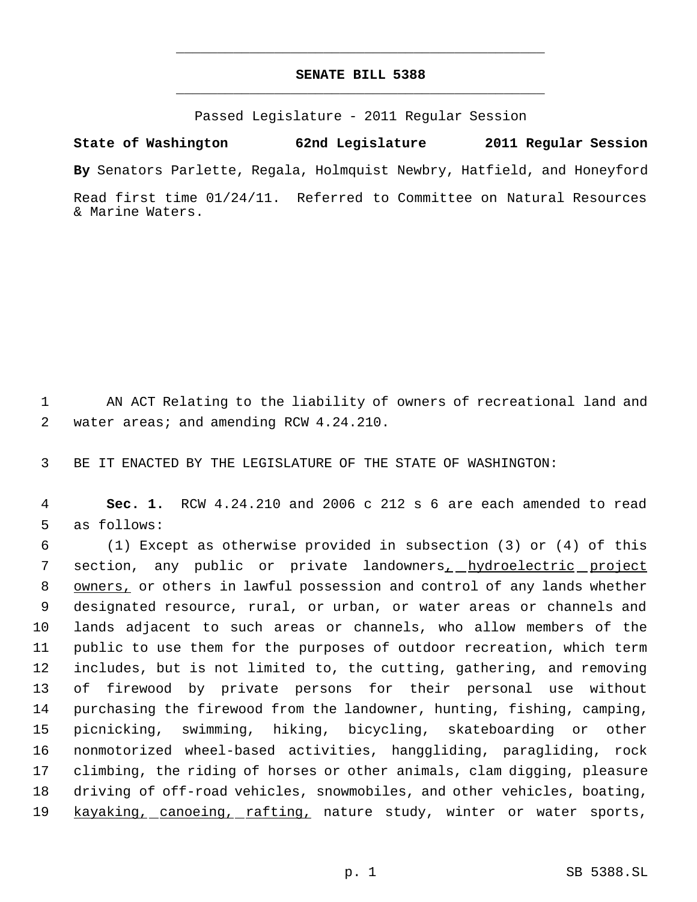## **SENATE BILL 5388** \_\_\_\_\_\_\_\_\_\_\_\_\_\_\_\_\_\_\_\_\_\_\_\_\_\_\_\_\_\_\_\_\_\_\_\_\_\_\_\_\_\_\_\_\_

\_\_\_\_\_\_\_\_\_\_\_\_\_\_\_\_\_\_\_\_\_\_\_\_\_\_\_\_\_\_\_\_\_\_\_\_\_\_\_\_\_\_\_\_\_

Passed Legislature - 2011 Regular Session

**State of Washington 62nd Legislature 2011 Regular Session**

**By** Senators Parlette, Regala, Holmquist Newbry, Hatfield, and Honeyford

Read first time 01/24/11. Referred to Committee on Natural Resources & Marine Waters.

1 AN ACT Relating to the liability of owners of recreational land and 2 water areas; and amending RCW 4.24.210.

3 BE IT ENACTED BY THE LEGISLATURE OF THE STATE OF WASHINGTON:

 4 **Sec. 1.** RCW 4.24.210 and 2006 c 212 s 6 are each amended to read 5 as follows:

 (1) Except as otherwise provided in subsection (3) or (4) of this 7 section, any public or private landowners<u>, hydroelectric project</u> 8 owners, or others in lawful possession and control of any lands whether designated resource, rural, or urban, or water areas or channels and lands adjacent to such areas or channels, who allow members of the public to use them for the purposes of outdoor recreation, which term includes, but is not limited to, the cutting, gathering, and removing of firewood by private persons for their personal use without purchasing the firewood from the landowner, hunting, fishing, camping, picnicking, swimming, hiking, bicycling, skateboarding or other nonmotorized wheel-based activities, hanggliding, paragliding, rock climbing, the riding of horses or other animals, clam digging, pleasure driving of off-road vehicles, snowmobiles, and other vehicles, boating, 19 kayaking, canoeing, rafting, nature study, winter or water sports,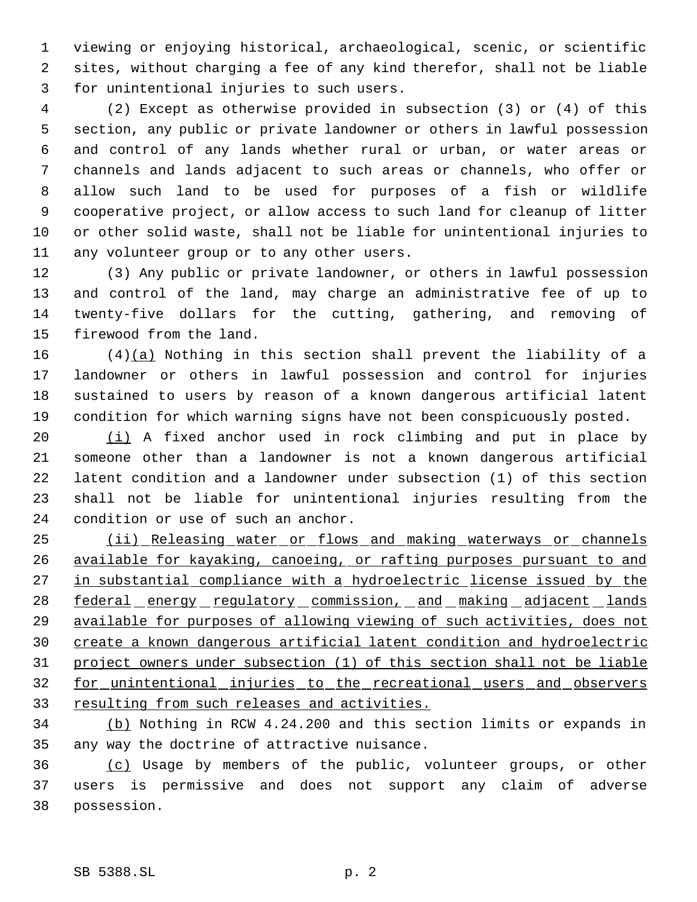viewing or enjoying historical, archaeological, scenic, or scientific sites, without charging a fee of any kind therefor, shall not be liable for unintentional injuries to such users.

 (2) Except as otherwise provided in subsection (3) or (4) of this section, any public or private landowner or others in lawful possession and control of any lands whether rural or urban, or water areas or channels and lands adjacent to such areas or channels, who offer or allow such land to be used for purposes of a fish or wildlife cooperative project, or allow access to such land for cleanup of litter or other solid waste, shall not be liable for unintentional injuries to any volunteer group or to any other users.

 (3) Any public or private landowner, or others in lawful possession and control of the land, may charge an administrative fee of up to twenty-five dollars for the cutting, gathering, and removing of firewood from the land.

 (4)(a) Nothing in this section shall prevent the liability of a landowner or others in lawful possession and control for injuries sustained to users by reason of a known dangerous artificial latent condition for which warning signs have not been conspicuously posted.

20 (i) A fixed anchor used in rock climbing and put in place by someone other than a landowner is not a known dangerous artificial latent condition and a landowner under subsection (1) of this section shall not be liable for unintentional injuries resulting from the condition or use of such an anchor.

25 (ii) Releasing water or flows and making waterways or channels available for kayaking, canoeing, or rafting purposes pursuant to and 27 in substantial compliance with a hydroelectric license issued by the 28 federal energy regulatory commission, and making adjacent lands available for purposes of allowing viewing of such activities, does not create a known dangerous artificial latent condition and hydroelectric project owners under subsection (1) of this section shall not be liable for unintentional injuries to the recreational users and observers 33 resulting from such releases and activities.

 (b) Nothing in RCW 4.24.200 and this section limits or expands in any way the doctrine of attractive nuisance.

 (c) Usage by members of the public, volunteer groups, or other users is permissive and does not support any claim of adverse possession.